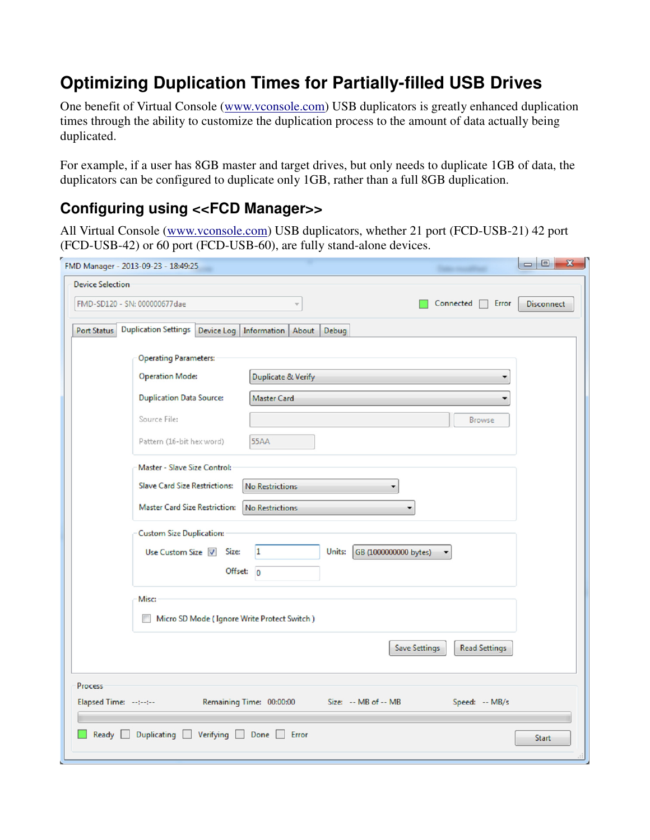# **Optimizing Duplication Times for Partially-filled USB Drives**

One benefit of Virtual Console (www.vconsole.com) USB duplicators is greatly enhanced duplication times through the ability to customize the duplication process to the amount of data actually being duplicated.

For example, if a user has 8GB master and target drives, but only needs to duplicate 1GB of data, the duplicators can be configured to duplicate only 1GB, rather than a full 8GB duplication.

#### **Configuring using <<FCD Manager>>**

All Virtual Console (www.vconsole.com) USB duplicators, whether 21 port (FCD-USB-21) 42 port (FCD-USB-42) or 60 port (FCD-USB-60), are fully stand-alone devices.

|                         | FMD Manager - 2013-09-23 - 18:49:25              |                                               |                                 |                                              | $\begin{array}{c c c c c} \hline \multicolumn{3}{c }{\mathbf{C}} & \multicolumn{3}{c }{\mathbf{X}} \\ \hline \multicolumn{3}{c }{\mathbf{C}} & \multicolumn{3}{c }{\mathbf{C}} & \multicolumn{3}{c }{\mathbf{X}} \\ \hline \multicolumn{3}{c }{\mathbf{C}} & \multicolumn{3}{c }{\mathbf{C}} & \multicolumn{3}{c }{\mathbf{X}} \\ \hline \multicolumn{3}{c }{\mathbf{C}} & \multicolumn{3}{c }{\mathbf{C}} & \multicolumn{3}{c }{\mathbf{C}} \\ \hline \multic$ |
|-------------------------|--------------------------------------------------|-----------------------------------------------|---------------------------------|----------------------------------------------|-----------------------------------------------------------------------------------------------------------------------------------------------------------------------------------------------------------------------------------------------------------------------------------------------------------------------------------------------------------------------------------------------------------------------------------------------------------------|
| <b>Device Selection</b> |                                                  |                                               |                                 |                                              |                                                                                                                                                                                                                                                                                                                                                                                                                                                                 |
|                         | FMD-SD120 - SN: 000000677dae                     | Ψ                                             |                                 | $Connected \Box$<br>Error                    | <b>Disconnect</b>                                                                                                                                                                                                                                                                                                                                                                                                                                               |
| <b>Port Status</b>      | <b>Duplication Settings</b>                      | Device Log   Information   About              | Debug                           |                                              |                                                                                                                                                                                                                                                                                                                                                                                                                                                                 |
|                         |                                                  |                                               |                                 |                                              |                                                                                                                                                                                                                                                                                                                                                                                                                                                                 |
|                         | <b>Operating Parameters:</b>                     |                                               |                                 |                                              |                                                                                                                                                                                                                                                                                                                                                                                                                                                                 |
|                         | <b>Operation Mode:</b>                           | <b>Duplicate &amp; Verify</b>                 |                                 | ▼                                            |                                                                                                                                                                                                                                                                                                                                                                                                                                                                 |
|                         | <b>Duplication Data Source:</b>                  | <b>Master Card</b>                            |                                 | ۰                                            |                                                                                                                                                                                                                                                                                                                                                                                                                                                                 |
|                         | Source File:                                     |                                               |                                 | <b>Browse</b>                                |                                                                                                                                                                                                                                                                                                                                                                                                                                                                 |
|                         | Pattern (16-bit hex word)                        | <b>55AA</b>                                   |                                 |                                              |                                                                                                                                                                                                                                                                                                                                                                                                                                                                 |
|                         | Master - Slave Size Control:                     |                                               |                                 |                                              |                                                                                                                                                                                                                                                                                                                                                                                                                                                                 |
|                         | <b>Slave Card Size Restrictions:</b>             | <b>No Restrictions</b>                        |                                 |                                              |                                                                                                                                                                                                                                                                                                                                                                                                                                                                 |
|                         | <b>Master Card Size Restriction:</b>             | <b>No Restrictions</b>                        |                                 |                                              |                                                                                                                                                                                                                                                                                                                                                                                                                                                                 |
|                         | <b>Custom Size Duplication:</b>                  |                                               |                                 |                                              |                                                                                                                                                                                                                                                                                                                                                                                                                                                                 |
|                         | Use Custom Size 7 Size:                          | 1                                             | Units:<br>GB (1000000000 bytes) |                                              |                                                                                                                                                                                                                                                                                                                                                                                                                                                                 |
|                         |                                                  | Offset: 0                                     |                                 |                                              |                                                                                                                                                                                                                                                                                                                                                                                                                                                                 |
|                         | Misc:                                            |                                               |                                 |                                              |                                                                                                                                                                                                                                                                                                                                                                                                                                                                 |
|                         | Micro SD Mode (Ignore Write Protect Switch)<br>B |                                               |                                 |                                              |                                                                                                                                                                                                                                                                                                                                                                                                                                                                 |
|                         |                                                  |                                               |                                 | <b>Save Settings</b><br><b>Read Settings</b> |                                                                                                                                                                                                                                                                                                                                                                                                                                                                 |
| <b>Process</b>          |                                                  |                                               |                                 |                                              |                                                                                                                                                                                                                                                                                                                                                                                                                                                                 |
| Elapsed Time: --:--:--  |                                                  | Remaining Time: 00:00:00 Size: -- MB of -- MB |                                 | Speed: -- MB/s                               |                                                                                                                                                                                                                                                                                                                                                                                                                                                                 |
| Ready                   | Duplicating Verifying Done Error                 |                                               |                                 |                                              | <b>Start</b>                                                                                                                                                                                                                                                                                                                                                                                                                                                    |
|                         |                                                  |                                               |                                 |                                              |                                                                                                                                                                                                                                                                                                                                                                                                                                                                 |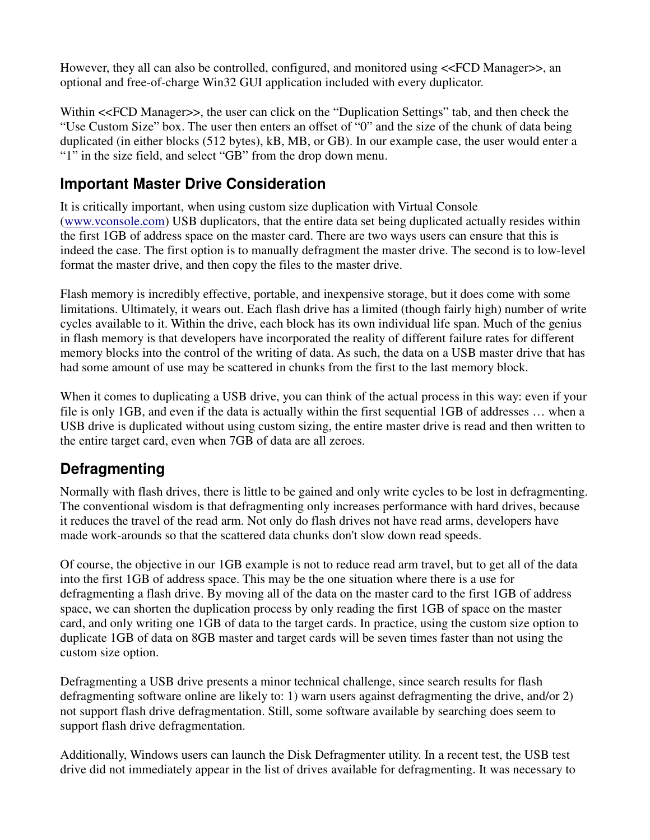However, they all can also be controlled, configured, and monitored using <<FCD Manager>>, an optional and free-of-charge Win32 GUI application included with every duplicator.

Within <<FCD Manager>>, the user can click on the "Duplication Settings" tab, and then check the "Use Custom Size" box. The user then enters an offset of "0" and the size of the chunk of data being duplicated (in either blocks (512 bytes), kB, MB, or GB). In our example case, the user would enter a "1" in the size field, and select "GB" from the drop down menu.

#### **Important Master Drive Consideration**

It is critically important, when using custom size duplication with Virtual Console (www.vconsole.com) USB duplicators, that the entire data set being duplicated actually resides within the first 1GB of address space on the master card. There are two ways users can ensure that this is indeed the case. The first option is to manually defragment the master drive. The second is to low-level format the master drive, and then copy the files to the master drive.

Flash memory is incredibly effective, portable, and inexpensive storage, but it does come with some limitations. Ultimately, it wears out. Each flash drive has a limited (though fairly high) number of write cycles available to it. Within the drive, each block has its own individual life span. Much of the genius in flash memory is that developers have incorporated the reality of different failure rates for different memory blocks into the control of the writing of data. As such, the data on a USB master drive that has had some amount of use may be scattered in chunks from the first to the last memory block.

When it comes to duplicating a USB drive, you can think of the actual process in this way: even if your file is only 1GB, and even if the data is actually within the first sequential 1GB of addresses … when a USB drive is duplicated without using custom sizing, the entire master drive is read and then written to the entire target card, even when 7GB of data are all zeroes.

#### **Defragmenting**

Normally with flash drives, there is little to be gained and only write cycles to be lost in defragmenting. The conventional wisdom is that defragmenting only increases performance with hard drives, because it reduces the travel of the read arm. Not only do flash drives not have read arms, developers have made work-arounds so that the scattered data chunks don't slow down read speeds.

Of course, the objective in our 1GB example is not to reduce read arm travel, but to get all of the data into the first 1GB of address space. This may be the one situation where there is a use for defragmenting a flash drive. By moving all of the data on the master card to the first 1GB of address space, we can shorten the duplication process by only reading the first 1GB of space on the master card, and only writing one 1GB of data to the target cards. In practice, using the custom size option to duplicate 1GB of data on 8GB master and target cards will be seven times faster than not using the custom size option.

Defragmenting a USB drive presents a minor technical challenge, since search results for flash defragmenting software online are likely to: 1) warn users against defragmenting the drive, and/or 2) not support flash drive defragmentation. Still, some software available by searching does seem to support flash drive defragmentation.

Additionally, Windows users can launch the Disk Defragmenter utility. In a recent test, the USB test drive did not immediately appear in the list of drives available for defragmenting. It was necessary to